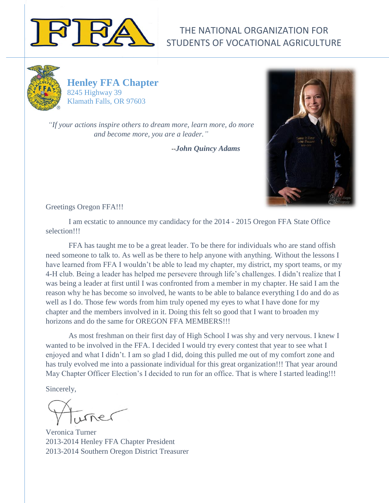

# THE NATIONAL ORGANIZATION FOR STUDENTS OF VOCATIONAL AGRICULTURE



**Henley FFA Chapter** 8245 Highway 39 Klamath Falls, OR 97603

*["If your actions inspire others to dream more, learn more, do more](http://www.brainyquote.com/quotes/quotes/j/johnquincy386752.html)  [and become more, you are a leader."](http://www.brainyquote.com/quotes/quotes/j/johnquincy386752.html)*

--*[John Quincy Adams](http://www.brainyquote.com/quotes/authors/j/john_quincy_adams.html)*



Greetings Oregon FFA!!!

I am ecstatic to announce my candidacy for the 2014 - 2015 Oregon FFA State Office selection!!!

FFA has taught me to be a great leader. To be there for individuals who are stand offish need someone to talk to. As well as be there to help anyone with anything. Without the lessons I have learned from FFA I wouldn't be able to lead my chapter, my district, my sport teams, or my 4-H club. Being a leader has helped me persevere through life's challenges. I didn't realize that I was being a leader at first until I was confronted from a member in my chapter. He said I am the reason why he has become so involved, he wants to be able to balance everything I do and do as well as I do. Those few words from him truly opened my eyes to what I have done for my chapter and the members involved in it. Doing this felt so good that I want to broaden my horizons and do the same for OREGON FFA MEMBERS!!!

As most freshman on their first day of High School I was shy and very nervous. I knew I wanted to be involved in the FFA. I decided I would try every contest that year to see what I enjoyed and what I didn't. I am so glad I did, doing this pulled me out of my comfort zone and has truly evolved me into a passionate individual for this great organization!!! That year around May Chapter Officer Election's I decided to run for an office. That is where I started leading!!!

Sincerely,

Veronica Turner 2013-2014 Henley FFA Chapter President 2013-2014 Southern Oregon District Treasurer